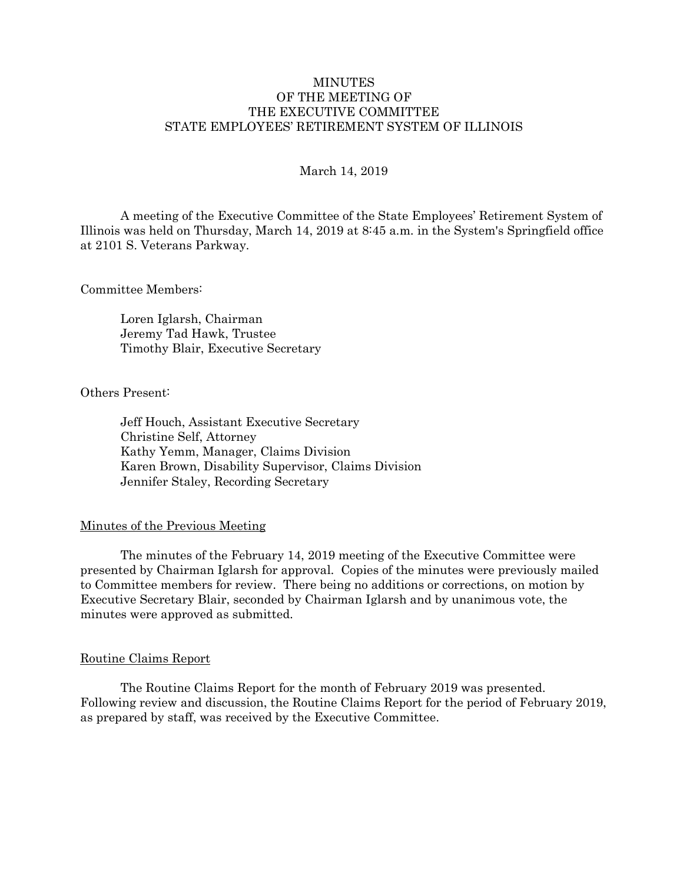# **MINUTES** OF THE MEETING OF THE EXECUTIVE COMMITTEE STATE EMPLOYEES' RETIREMENT SYSTEM OF ILLINOIS

## March 14, 2019

A meeting of the Executive Committee of the State Employees' Retirement System of Illinois was held on Thursday, March 14, 2019 at 8:45 a.m. in the System's Springfield office at 2101 S. Veterans Parkway.

Committee Members:

Loren Iglarsh, Chairman Jeremy Tad Hawk, Trustee Timothy Blair, Executive Secretary

Others Present:

Jeff Houch, Assistant Executive Secretary Christine Self, Attorney Kathy Yemm, Manager, Claims Division Karen Brown, Disability Supervisor, Claims Division Jennifer Staley, Recording Secretary

#### Minutes of the Previous Meeting

The minutes of the February 14, 2019 meeting of the Executive Committee were presented by Chairman Iglarsh for approval. Copies of the minutes were previously mailed to Committee members for review. There being no additions or corrections, on motion by Executive Secretary Blair, seconded by Chairman Iglarsh and by unanimous vote, the minutes were approved as submitted.

#### Routine Claims Report

The Routine Claims Report for the month of February 2019 was presented. Following review and discussion, the Routine Claims Report for the period of February 2019, as prepared by staff, was received by the Executive Committee.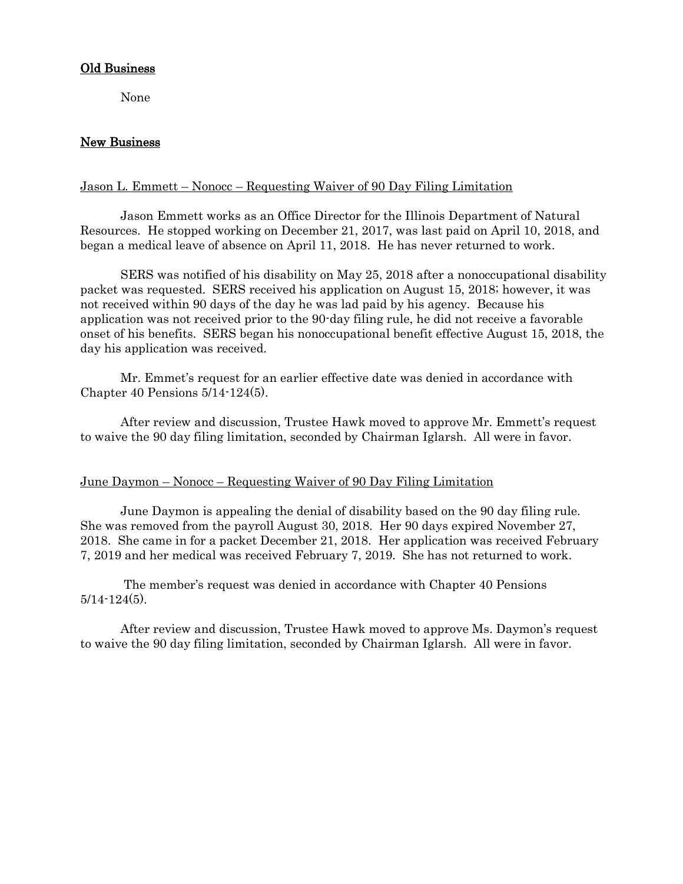## Old Business

None

# New Business

## Jason L. Emmett – Nonocc – Requesting Waiver of 90 Day Filing Limitation

Jason Emmett works as an Office Director for the Illinois Department of Natural Resources. He stopped working on December 21, 2017, was last paid on April 10, 2018, and began a medical leave of absence on April 11, 2018. He has never returned to work.

SERS was notified of his disability on May 25, 2018 after a nonoccupational disability packet was requested. SERS received his application on August 15, 2018; however, it was not received within 90 days of the day he was lad paid by his agency. Because his application was not received prior to the 90-day filing rule, he did not receive a favorable onset of his benefits. SERS began his nonoccupational benefit effective August 15, 2018, the day his application was received.

Mr. Emmet's request for an earlier effective date was denied in accordance with Chapter 40 Pensions 5/14-124(5).

After review and discussion, Trustee Hawk moved to approve Mr. Emmett's request to waive the 90 day filing limitation, seconded by Chairman Iglarsh. All were in favor.

## June Daymon – Nonocc – Requesting Waiver of 90 Day Filing Limitation

June Daymon is appealing the denial of disability based on the 90 day filing rule. She was removed from the payroll August 30, 2018. Her 90 days expired November 27, 2018. She came in for a packet December 21, 2018. Her application was received February 7, 2019 and her medical was received February 7, 2019. She has not returned to work.

The member's request was denied in accordance with Chapter 40 Pensions  $5/14 - 124(5)$ .

After review and discussion, Trustee Hawk moved to approve Ms. Daymon's request to waive the 90 day filing limitation, seconded by Chairman Iglarsh. All were in favor.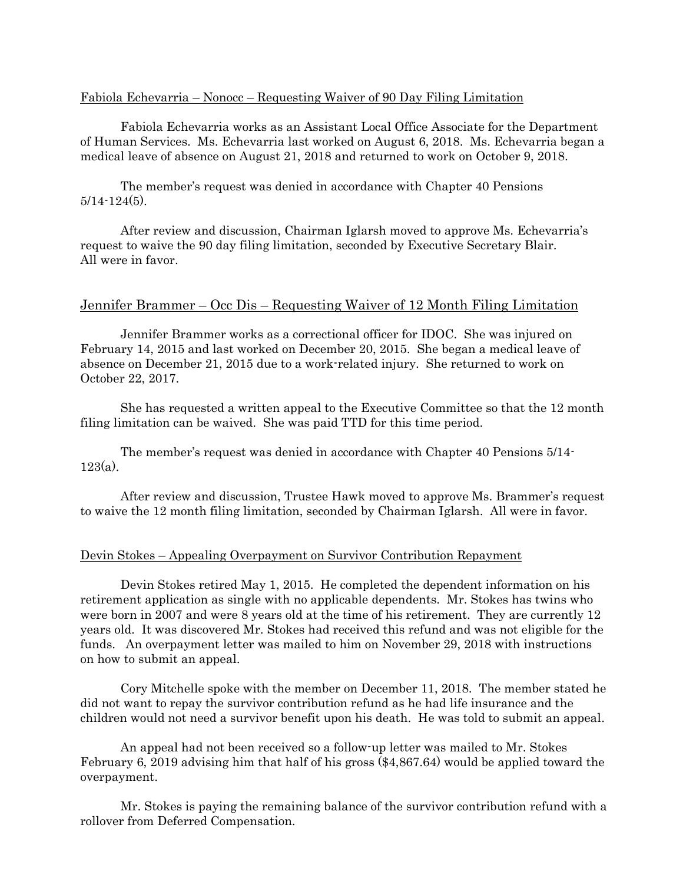### Fabiola Echevarria – Nonocc – Requesting Waiver of 90 Day Filing Limitation

Fabiola Echevarria works as an Assistant Local Office Associate for the Department of Human Services. Ms. Echevarria last worked on August 6, 2018. Ms. Echevarria began a medical leave of absence on August 21, 2018 and returned to work on October 9, 2018.

The member's request was denied in accordance with Chapter 40 Pensions 5/14-124(5).

After review and discussion, Chairman Iglarsh moved to approve Ms. Echevarria's request to waive the 90 day filing limitation, seconded by Executive Secretary Blair. All were in favor.

### Jennifer Brammer – Occ Dis – Requesting Waiver of 12 Month Filing Limitation

Jennifer Brammer works as a correctional officer for IDOC. She was injured on February 14, 2015 and last worked on December 20, 2015. She began a medical leave of absence on December 21, 2015 due to a work-related injury. She returned to work on October 22, 2017.

She has requested a written appeal to the Executive Committee so that the 12 month filing limitation can be waived. She was paid TTD for this time period.

The member's request was denied in accordance with Chapter 40 Pensions 5/14- 123(a).

After review and discussion, Trustee Hawk moved to approve Ms. Brammer's request to waive the 12 month filing limitation, seconded by Chairman Iglarsh. All were in favor.

#### Devin Stokes – Appealing Overpayment on Survivor Contribution Repayment

Devin Stokes retired May 1, 2015. He completed the dependent information on his retirement application as single with no applicable dependents. Mr. Stokes has twins who were born in 2007 and were 8 years old at the time of his retirement. They are currently 12 years old. It was discovered Mr. Stokes had received this refund and was not eligible for the funds. An overpayment letter was mailed to him on November 29, 2018 with instructions on how to submit an appeal.

Cory Mitchelle spoke with the member on December 11, 2018. The member stated he did not want to repay the survivor contribution refund as he had life insurance and the children would not need a survivor benefit upon his death. He was told to submit an appeal.

An appeal had not been received so a follow-up letter was mailed to Mr. Stokes February 6, 2019 advising him that half of his gross (\$4,867.64) would be applied toward the overpayment.

Mr. Stokes is paying the remaining balance of the survivor contribution refund with a rollover from Deferred Compensation.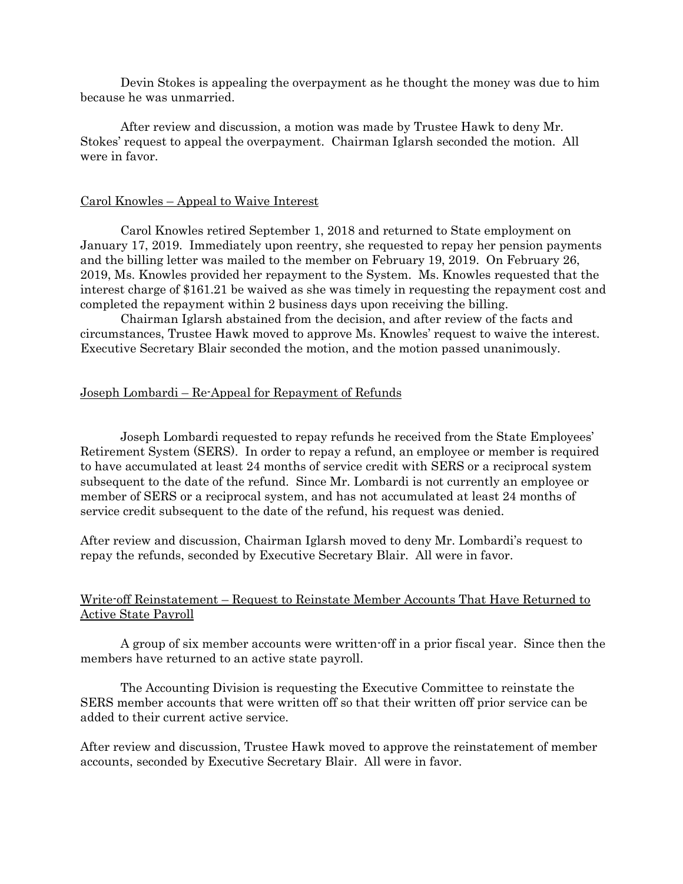Devin Stokes is appealing the overpayment as he thought the money was due to him because he was unmarried.

After review and discussion, a motion was made by Trustee Hawk to deny Mr. Stokes' request to appeal the overpayment. Chairman Iglarsh seconded the motion. All were in favor.

#### Carol Knowles – Appeal to Waive Interest

Carol Knowles retired September 1, 2018 and returned to State employment on January 17, 2019. Immediately upon reentry, she requested to repay her pension payments and the billing letter was mailed to the member on February 19, 2019. On February 26, 2019, Ms. Knowles provided her repayment to the System. Ms. Knowles requested that the interest charge of \$161.21 be waived as she was timely in requesting the repayment cost and completed the repayment within 2 business days upon receiving the billing.

Chairman Iglarsh abstained from the decision, and after review of the facts and circumstances, Trustee Hawk moved to approve Ms. Knowles' request to waive the interest. Executive Secretary Blair seconded the motion, and the motion passed unanimously.

## Joseph Lombardi – Re-Appeal for Repayment of Refunds

Joseph Lombardi requested to repay refunds he received from the State Employees' Retirement System (SERS). In order to repay a refund, an employee or member is required to have accumulated at least 24 months of service credit with SERS or a reciprocal system subsequent to the date of the refund. Since Mr. Lombardi is not currently an employee or member of SERS or a reciprocal system, and has not accumulated at least 24 months of service credit subsequent to the date of the refund, his request was denied.

After review and discussion, Chairman Iglarsh moved to deny Mr. Lombardi's request to repay the refunds, seconded by Executive Secretary Blair. All were in favor.

# Write-off Reinstatement – Request to Reinstate Member Accounts That Have Returned to Active State Payroll

A group of six member accounts were written-off in a prior fiscal year. Since then the members have returned to an active state payroll.

The Accounting Division is requesting the Executive Committee to reinstate the SERS member accounts that were written off so that their written off prior service can be added to their current active service.

After review and discussion, Trustee Hawk moved to approve the reinstatement of member accounts, seconded by Executive Secretary Blair. All were in favor.